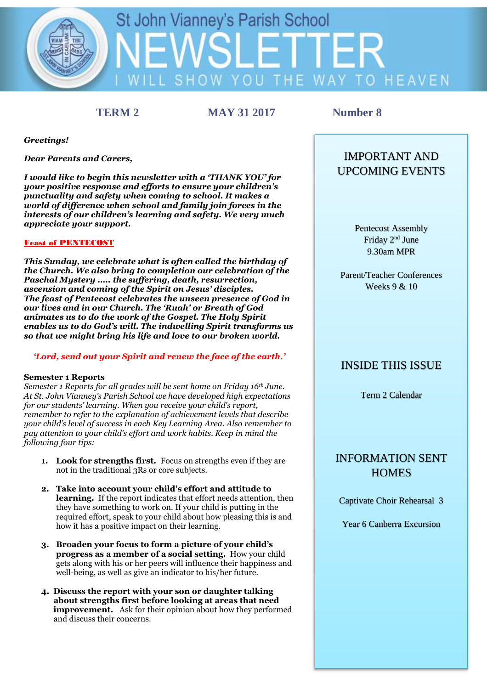

**TERM 2 MAY 31 2017 Number 8**

*Greetings!*

*Dear Parents and Carers,*

*I would like to begin this newsletter with a 'THANK YOU' for your positive response and efforts to ensure your children's punctuality and safety when coming to school. It makes a world of difference when school and family join forces in the interests of our children's learning and safety. We very much appreciate your support.*

#### **Feast of PENTECOST**

*This Sunday, we celebrate what is often called the birthday of the Church. We also bring to completion our celebration of the Paschal Mystery ….. the suffering, death, resurrection, ascension and coming of the Spirit on Jesus' disciples. The feast of Pentecost celebrates the unseen presence of God in our lives and in our Church. The 'Ruah' or Breath of God animates us to do the work of the Gospel. The Holy Spirit enables us to do God's will. The indwelling Spirit transforms us so that we might bring his life and love to our broken world.*

### *'Lord, send out your Spirit and renew the face of the earth.'*

#### **Semester 1 Reports**

*Semester 1 Reports for all grades will be sent home on Friday 16th June. At St. John Vianney's Parish School we have developed high expectations for our students' learning. When you receive your child's report, remember to refer to the explanation of achievement levels that describe your child's level of success in each Key Learning Area. Also remember to pay attention to your child's effort and work habits. Keep in mind the following four tips:*

- **1. Look for strengths first.** Focus on strengths even if they are not in the traditional 3Rs or core subjects.
- **2. Take into account your child's effort and attitude to learning.** If the report indicates that effort needs attention, then they have something to work on. If your child is putting in the required effort, speak to your child about how pleasing this is and how it has a positive impact on their learning.
- **3. Broaden your focus to form a picture of your child's progress as a member of a social setting.** How your child gets along with his or her peers will influence their happiness and well-being, as well as give an indicator to his/her future.
- **4. Discuss the report with your son or daughter talking about strengths first before looking at areas that need improvement.** Ask for their opinion about how they performed and discuss their concerns.

# IMPORTANT AND UPCOMING EVENTS

Pentecost Assembly Friday 2nd June 9.30am MPR

Parent/Teacher Conferences Weeks 9 & 10

# INSIDE THIS ISSUE

Term 2 Calendar

# INFORMATION SENT **HOMES**

Captivate Choir Rehearsal 3

Year 6 Canberra Excursion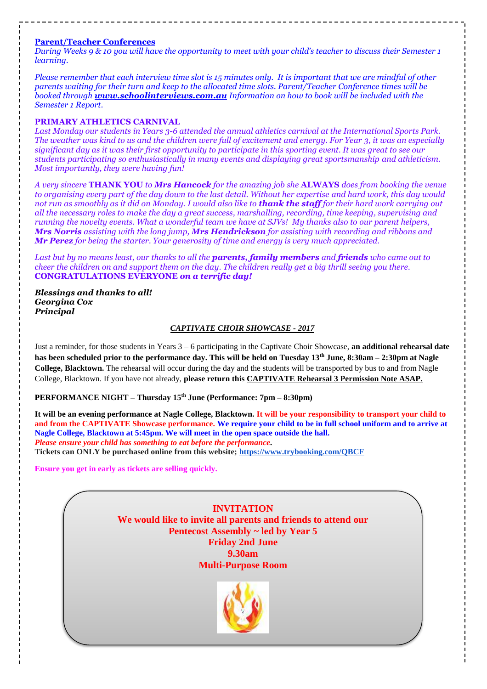#### **Parent/Teacher Conferences**

*During Weeks 9 & 10 you will have the opportunity to meet with your child's teacher to discuss their Semester 1 learning.*

*Please remember that each interview time slot is 15 minutes only. It is important that we are mindful of other parents waiting for their turn and keep to the allocated time slots. Parent/Teacher Conference times will be booked through www.schoolinterviews.com.au Information on how to book will be included with the Semester 1 Report.*

#### **PRIMARY ATHLETICS CARNIVAL**

*Last Monday our students in Years 3-6 attended the annual athletics carnival at the International Sports Park. The weather was kind to us and the children were full of excitement and energy. For Year 3, it was an especially significant day as it was their first opportunity to participate in this sporting event. It was great to see our students participating so enthusiastically in many events and displaying great sportsmanship and athleticism. Most importantly, they were having fun!* 

*A very sincere* **THANK YOU** *to Mrs Hancock for the amazing job she* **ALWAYS** *does from booking the venue to organising every part of the day down to the last detail. Without her expertise and hard work, this day would not run as smoothly as it did on Monday. I would also like to thank the staff for their hard work carrying out all the necessary roles to make the day a great success, marshalling, recording, time keeping, supervising and running the novelty events. What a wonderful team we have at SJVs! My thanks also to our parent helpers, Mrs Norris assisting with the long jump, Mrs Hendrickson for assisting with recording and ribbons and Mr Perez for being the starter. Your generosity of time and energy is very much appreciated.*

*Last but by no means least, our thanks to all the parents, family members and friends who came out to cheer the children on and support them on the day. The children really get a big thrill seeing you there.* **CONGRATULATIONS EVERYONE** *on a terrific day!*

#### *Blessings and thanks to all! Georgina Cox Principal*

#### *CAPTIVATE CHOIR SHOWCASE - 2017*

Just a reminder, for those students in Years 3 – 6 participating in the Captivate Choir Showcase, **an additional rehearsal date has been scheduled prior to the performance day. This will be held on Tuesday 13th June, 8:30am – 2:30pm at Nagle College, Blacktown.** The rehearsal will occur during the day and the students will be transported by bus to and from Nagle College, Blacktown. If you have not already, **please return this CAPTIVATE Rehearsal 3 Permission Note ASAP.**

#### **PERFORMANCE NIGHT – Thursday 15th June (Performance: 7pm – 8:30pm)**

**It will be an evening performance at Nagle College, Blacktown. It will be your responsibility to transport your child to and from the CAPTIVATE Showcase performance. We require your child to be in full school uniform and to arrive at Nagle College, Blacktown at 5:45pm. We will meet in the open space outside the hall.** *Please ensure your child has something to eat before the performance.* **Tickets can ONLY be purchased online from this website;<https://www.trybooking.com/QBCF>**

**Ensure you get in early as tickets are selling quickly.**

**INVITATION We would like to invite all parents and friends to attend our Pentecost Assembly ~ led by Year 5 Friday 2nd June 9.30am Multi-Purpose Room**

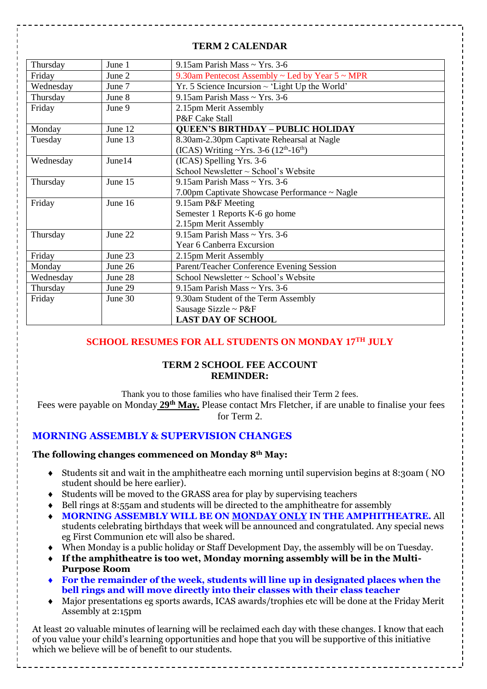## **TERM 2 CALENDAR**

| Thursday            | June 1  | 9.15am Parish Mass ~ Yrs. 3-6                             |  |
|---------------------|---------|-----------------------------------------------------------|--|
| Friday              | June 2  | 9.30am Pentecost Assembly $\sim$ Led by Year 5 $\sim$ MPR |  |
| Wednesday           | June 7  | $Yr. 5$ Science Incursion $\sim$ 'Light Up the World'     |  |
| Thursday            | June 8  | 9.15am Parish Mass $\sim$ Yrs. 3-6                        |  |
| Friday              | June 9  | 2.15pm Merit Assembly                                     |  |
|                     |         | P&F Cake Stall                                            |  |
| Monday              | June 12 | <b>QUEEN'S BIRTHDAY - PUBLIC HOLIDAY</b>                  |  |
| Tuesday             | June 13 | 8.30am-2.30pm Captivate Rehearsal at Nagle                |  |
|                     |         | (ICAS) Writing ~Yrs. 3-6 ( $12^{th}$ - $16^{th}$ )        |  |
| Wednesday           | June 14 | (ICAS) Spelling Yrs. 3-6                                  |  |
|                     |         | School Newsletter $\sim$ School's Website                 |  |
| June 15<br>Thursday |         | 9.15am Parish Mass $\sim$ Yrs. 3-6                        |  |
|                     |         | 7.00pm Captivate Showcase Performance ~ Nagle             |  |
| Friday<br>June 16   |         | 9.15am P&F Meeting                                        |  |
|                     |         | Semester 1 Reports K-6 go home                            |  |
|                     |         | 2.15pm Merit Assembly                                     |  |
| June 22<br>Thursday |         | 9.15am Parish Mass ~ Yrs. 3-6                             |  |
|                     |         | Year 6 Canberra Excursion                                 |  |
| Friday              | June 23 | 2.15pm Merit Assembly                                     |  |
| Monday              | June 26 | Parent/Teacher Conference Evening Session                 |  |
| Wednesday           | June 28 | School Newsletter ~ School's Website                      |  |
| Thursday            | June 29 | 9.15am Parish Mass $\sim$ Yrs. 3-6                        |  |
| Friday              | June 30 | 9.30am Student of the Term Assembly                       |  |
|                     |         | Sausage Sizzle ~ $P\&F$                                   |  |
|                     |         | <b>LAST DAY OF SCHOOL</b>                                 |  |

# **SCHOOL RESUMES FOR ALL STUDENTS ON MONDAY 17TH JULY**

## **TERM 2 SCHOOL FEE ACCOUNT REMINDER:**

Thank you to those families who have finalised their Term 2 fees.

Fees were payable on Monday **29th May.** Please contact Mrs Fletcher, if are unable to finalise your fees for Term 2.

# **MORNING ASSEMBLY & SUPERVISION CHANGES**

### **The following changes commenced on Monday 8th May:**

- Students sit and wait in the amphitheatre each morning until supervision begins at 8:30am ( NO student should be here earlier).
- Students will be moved to the GRASS area for play by supervising teachers
- $\bullet$  Bell rings at 8:55am and students will be directed to the amphitheatre for assembly
- **MORNING ASSEMBLY WILL BE ON MONDAY ONLY IN THE AMPHITHEATRE.** All students celebrating birthdays that week will be announced and congratulated. Any special news eg First Communion etc will also be shared.
- When Monday is a public holiday or Staff Development Day, the assembly will be on Tuesday.
- **If the amphitheatre is too wet, Monday morning assembly will be in the Multi-Purpose Room**
- **For the remainder of the week, students will line up in designated places when the bell rings and will move directly into their classes with their class teacher**
- Major presentations eg sports awards, ICAS awards/trophies etc will be done at the Friday Merit Assembly at 2:15pm

At least 20 valuable minutes of learning will be reclaimed each day with these changes. I know that each of you value your child's learning opportunities and hope that you will be supportive of this initiative which we believe will be of benefit to our students.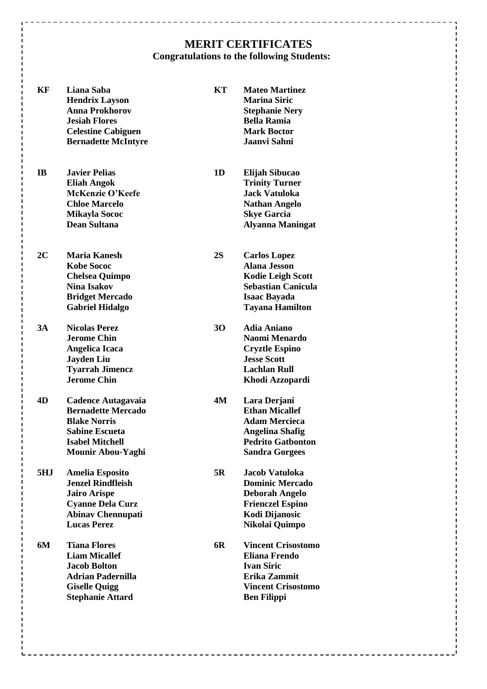# **MERIT CERTIFICATES Congratulations to the following Students:**

| KF  | Liana Saba<br><b>Hendrix Layson</b><br><b>Anna Prokhorov</b><br><b>Jesiah Flores</b><br><b>Celestine Cabiguen</b><br><b>Bernadette McIntyre</b>        | KT | <b>Mateo Martinez</b><br><b>Marina Siric</b><br><b>Stephanie Nery</b><br><b>Bella Ramia</b><br><b>Mark Boctor</b><br>Jaanvi Sahni                    |
|-----|--------------------------------------------------------------------------------------------------------------------------------------------------------|----|------------------------------------------------------------------------------------------------------------------------------------------------------|
| IB  | <b>Javier Pelias</b><br><b>Eliah Angok</b><br>McKenzie O'Keefe<br><b>Chloe Marcelo</b><br><b>Mikayla Sococ</b><br>Dean Sultana                         | 1D | Elijah Sibucao<br><b>Trinity Turner</b><br><b>Jack Vatuloka</b><br><b>Nathan Angelo</b><br><b>Skye Garcia</b><br><b>Alyanna Maningat</b>             |
| 2C  | Maria Kanesh<br><b>Kobe Sococ</b><br><b>Chelsea Quimpo</b><br><b>Nina Isakov</b><br><b>Bridget Mercado</b><br><b>Gabriel Hidalgo</b>                   | 2S | <b>Carlos Lopez</b><br><b>Alana Jesson</b><br><b>Kodie Leigh Scott</b><br><b>Sebastian Canicula</b><br><b>Isaac Bayada</b><br><b>Tayana Hamilton</b> |
| 3A  | <b>Nicolas Perez</b><br><b>Jerome Chin</b><br>Angelica Icaca<br><b>Jayden Liu</b><br><b>Tyarrah Jimencz</b><br><b>Jerome Chin</b>                      | 30 | <b>Adia Aniano</b><br>Naomi Menardo<br><b>Cryztle Espino</b><br><b>Jesse Scott</b><br>Lachlan Rull<br>Khodi Azzopardi                                |
| 4D  | <b>Cadence Autagavaia</b><br><b>Bernadette Mercado</b><br><b>Blake Norris</b><br><b>Sabine Escueta</b><br><b>Isabel Mitchell</b><br>Mounir Abou-Yaghi  | 4M | Lara Derjani<br><b>Ethan Micallef</b><br><b>Adam Mercieca</b><br><b>Angelina Shafig</b><br><b>Pedrito Gatbonton</b><br><b>Sandra Gorgees</b>         |
| 5HJ | <b>Amelia Esposito</b><br><b>Jenzel Rindfleish</b><br><b>Jairo Arispe</b><br><b>Cyanne Dela Curz</b><br><b>Abinav Chennupati</b><br><b>Lucas Perez</b> | 5R | Jacob Vatuloka<br><b>Dominic Mercado</b><br>Deborah Angelo<br><b>Frienczel Espino</b><br>Kodi Dijanosic<br>Nikolai Quimpo                            |
| 6M  | <b>Tiana Flores</b><br><b>Liam Micallef</b><br><b>Jacob Bolton</b><br><b>Adrian Padernilla</b><br><b>Giselle Quigg</b><br><b>Stephanie Attard</b>      | 6R | <b>Vincent Crisostomo</b><br><b>Eliana Frendo</b><br><b>Ivan Siric</b><br>Erika Zammit<br><b>Vincent Crisostomo</b><br><b>Ben Filippi</b>            |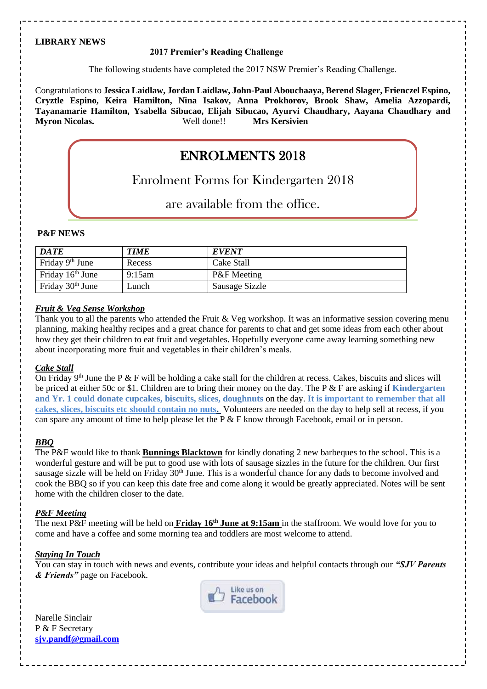### **LIBRARY NEWS**

#### **2017 Premier's Reading Challenge**

The following students have completed the 2017 NSW Premier's Reading Challenge.

Congratulations to **Jessica Laidlaw, Jordan Laidlaw, John-Paul Abouchaaya, Berend Slager, Frienczel Espino, Cryztle Espino, Keira Hamilton, Nina Isakov, Anna Prokhorov, Brook Shaw, Amelia Azzopardi, Tayanamarie Hamilton, Ysabella Sibucao, Elijah Sibucao, Ayurvi Chaudhary, Aayana Chaudhary and Myron Nicolas.** 

# Enrolment Forms for Kindergarten 2018

# are available from the office.

#### **P&F NEWS**

| <b>DATE</b>                  | <b>TIME</b> | <b>EVENT</b>           |
|------------------------------|-------------|------------------------|
| Friday 9 <sup>th</sup> June  | Recess      | Cake Stall             |
| Friday $16th$ June           | 9:15am      | <b>P&amp;F</b> Meeting |
| Friday 30 <sup>th</sup> June | Lunch       | Sausage Sizzle         |

#### *Fruit & Veg Sense Workshop*

Thank you to all the parents who attended the Fruit & Veg workshop. It was an informative session covering menu planning, making healthy recipes and a great chance for parents to chat and get some ideas from each other about how they get their children to eat fruit and vegetables. Hopefully everyone came away learning something new about incorporating more fruit and vegetables in their children's meals.

### *Cake Stall*

On Friday  $9<sup>th</sup>$  June the P & F will be holding a cake stall for the children at recess. Cakes, biscuits and slices will be priced at either 50c or \$1. Children are to bring their money on the day. The P & F are asking if **Kindergarten and Yr. 1 could donate cupcakes, biscuits, slices, doughnuts** on the day. **It is important to remember that all cakes, slices, biscuits etc should contain no nuts.** Volunteers are needed on the day to help sell at recess, if you can spare any amount of time to help please let the P & F know through Facebook, email or in person. **ENROLMENTS 2018**<br> **ENROLMENTS 2018**<br> **ENROLMENTS 2018**<br> **ENROLMENTS** 2018<br> **ENROLMENTS** are available from the office<br> **PATE**<br> **FROLMENT**<br> **FROLMENT**<br> **ENROLMENT**<br> **FROLMENT**<br> **FROLMENT**<br> **FROLMENT**<br> **FROLMENT**<br> **ENROLME** 

## *BBQ*

The P&F would like to thank **Bunnings Blacktown** for kindly donating 2 new barbeques to the school. This is a wonderful gesture and will be put to good use with lots of sausage sizzles in the future for the children. Our first sausage sizzle will be held on Friday 30<sup>th</sup> June. This is a wonderful chance for any dads to become involved and cook the BBQ so if you can keep this date free and come along it would be greatly appreciated. Notes will be sent home with the children closer to the date.

### *P&F Meeting*

The next P&F meeting will be held on **Friday 16<sup>th</sup> June at 9:15am** in the staffroom. We would love for you to come and have a coffee and some morning tea and toddlers are most welcome to attend.

### *Staying In Touch*

You can stay in touch with news and events, contribute your ideas and helpful contacts through our *"SJV Parents & Friends"* page on Facebook.



Narelle Sinclair P & F Secretary